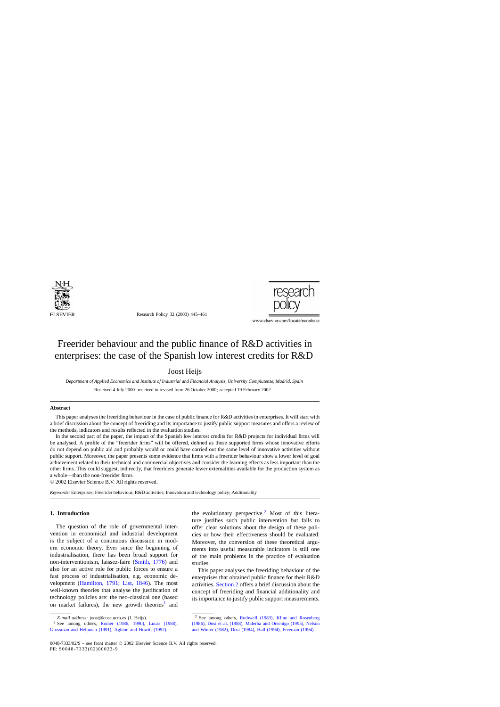

Research Policy 32 (2003) 445–461



www.elsevier.com/locate/econbase

## Freerider behaviour and the public finance of R&D activities in enterprises: the case of the Spanish low interest credits for R&D

### Joost Heijs

*Department of Applied Economics and Institute of Industrial and Financial Analysis, University Complutense, Madrid, Spain*

Received 4 July 2000; received in revised form 26 October 2000; accepted 19 February 2002

#### **Abstract**

This paper analyses the freeriding behaviour in the case of public finance for R&D activities in enterprises. It will start with a brief discussion about the concept of freeriding and its importance to justify public support measures and offers a review of the methods, indicators and results reflected in the evaluation studies.

In the second part of the paper, the impact of the Spanish low interest credits for R&D projects for individual firms will be analysed. A profile of the "freerider firms" will be offered, defined as those supported firms whose innovative efforts do not depend on public aid and probably would or could have carried out the same level of innovative activities without public support. Moreover, the paper presents some evidence that firms with a freerider behaviour show a lower level of goal achievement related to their technical and commercial objectives and consider the learning effects as less important than the other firms. This could suggest, indirectly, that freeriders generate fewer externalities available for the production system as a whole—than the non-freerider firms.

© 2002 Elsevier Science B.V. All rights reserved.

*Keywords:* Enterprises; Freerider behaviour; R&D activities; Innovation and technology policy; Additionality

#### **1. Introduction**

The question of the role of governmental intervention in economical and industrial development is the subject of a continuous discussion in modern economic theory. Ever since the beginning of industrialisation, there has been broad support for non-interventionism, laissez-faire [\(Smith, 1776\)](#page--1-0) and also for an active role for public forces to ensure a fast process of industrialisation, e.g. economic development [\(Hamilton, 1791; List, 1846](#page--1-0)). The most well-known theories that analyse the justification of technology policies are: the neo-classical one (based on market failures), the new growth theories<sup>1</sup> and

the evolutionary perspective.<sup>2</sup> Most of this literature justifies such public intervention but fails to offer clear solutions about the design of these policies or how their effectiveness should be evaluated. Moreover, the conversion of these theoretical arguments into useful measurable indicators is still one of the main problems in the practice of evaluation studies.

This paper analyses the freeriding behaviour of the enterprises that obtained public finance for their R&D activities. [Section 2](#page-1-0) offers a brief discussion about the concept of freeriding and financial additionality and its importance to justify public support measurements.

*E-mail address:* joost@ccee.ucm.es (J. Heijs).

<sup>&</sup>lt;sup>1</sup> See among others, [Romer \(1986, 1990\)](#page--1-0), [Lucas \(1988\),](#page--1-0) [Grossman and Helpman \(1991\),](#page--1-0) [Aghion and Howitt \(1992\).](#page--1-0)

<sup>2</sup> See among others, [Rothwell \(1983\),](#page--1-0) [Kline and Rosenberg](#page--1-0) [\(1986\),](#page--1-0) [Dosi et al. \(1988\),](#page--1-0) [Malerba and Orsenigo \(1995\),](#page--1-0) [Nelson](#page--1-0) [and Winter \(1982\),](#page--1-0) [Dosi \(1984\),](#page--1-0) [Hall \(1994\),](#page--1-0) [Freeman \(1994\).](#page--1-0)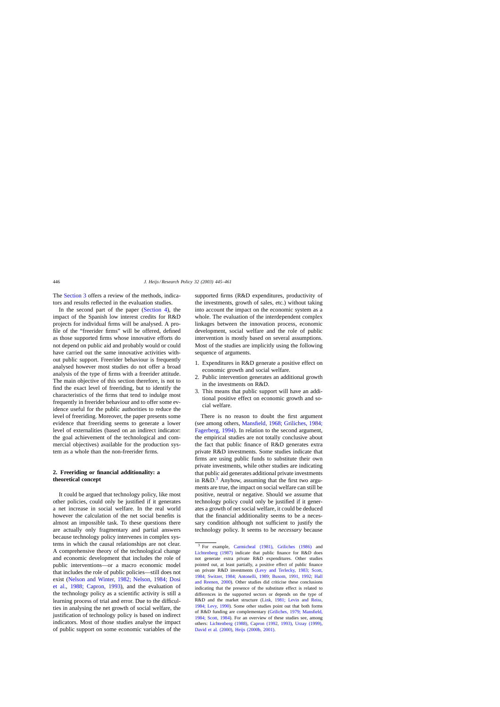<span id="page-1-0"></span>The [Section 3](#page--1-0) offers a review of the methods, indicators and results reflected in the evaluation studies.

In the second part of the paper [\(Section 4\)](#page--1-0), the impact of the Spanish low interest credits for R&D projects for individual firms will be analysed. A profile of the "freerider firms" will be offered, defined as those supported firms whose innovative efforts do not depend on public aid and probably would or could have carried out the same innovative activities without public support. Freerider behaviour is frequently analysed however most studies do not offer a broad analysis of the type of firms with a freerider attitude. The main objective of this section therefore, is not to find the exact level of freeriding, but to identify the characteristics of the firms that tend to indulge most frequently in freerider behaviour and to offer some evidence useful for the public authorities to reduce the level of freeriding. Moreover, the paper presents some evidence that freeriding seems to generate a lower level of externalities (based on an indirect indicator: the goal achievement of the technological and commercial objectives) available for the production system as a whole than the non-freerider firms.

### **2. Freeriding or financial additionality: a theoretical concept**

It could be argued that technology policy, like most other policies, could only be justified if it generates a net increase in social welfare. In the real world however the calculation of the net social benefits is almost an impossible task. To these questions there are actually only fragmentary and partial answers because technology policy intervenes in complex systems in which the causal relationships are not clear. A comprehensive theory of the technological change and economic development that includes the role of public interventions—or a macro economic model that includes the role of public policies—still does not exist ([Nelson and Winter, 1982; Nelson, 1984; Dosi](#page--1-0) [et al., 1988; Capron, 1993](#page--1-0)), and the evaluation of the technology policy as a scientific activity is still a learning process of trial and error. Due to the difficulties in analysing the net growth of social welfare, the justification of technology policy is based on indirect indicators. Most of those studies analyse the impact of public support on some economic variables of the supported firms (R&D expenditures, productivity of the investments, growth of sales, etc.) without taking into account the impact on the economic system as a whole. The evaluation of the interdependent complex linkages between the innovation process, economic development, social welfare and the role of public intervention is mostly based on several assumptions. Most of the studies are implicitly using the following sequence of arguments.

- 1. Expenditures in R&D generate a positive effect on economic growth and social welfare.
- 2. Public intervention generates an additional growth in the investments on R&D.
- 3. This means that public support will have an additional positive effect on economic growth and social welfare.

There is no reason to doubt the first argument (see among others, [Mansfield, 1968; Griliches, 1984;](#page--1-0) [Fagerberg, 1994\).](#page--1-0) In relation to the second argument, the empirical studies are not totally conclusive about the fact that public finance of R&D generates extra private R&D investments. Some studies indicate that firms are using public funds to substitute their own private investments, while other studies are indicating that public aid generates additional private investments in R&D. $3$  Anyhow, assuming that the first two arguments are true, the impact on social welfare can still be positive, neutral or negative. Should we assume that technology policy could only be justified if it generates a growth of net social welfare, it could be deduced that the financial additionality seems to be a necessary condition although not sufficient to justify the technology policy. It seems to be *necessary* because

<sup>3</sup> For example, [Carmicheal \(1981\),](#page--1-0) [Griliches \(1986\)](#page--1-0) and [Lichtenberg \(1987\)](#page--1-0) indicate that public finance for R&D does not generate extra private R&D expenditures. Other studies pointed out, at least partially, a positive effect of public finance on private R&D investments ([Levy and Terlecky, 1983; Scott,](#page--1-0) [1984; Switzer, 1984; Antonelli, 1989; Busom, 1991, 1992; Hall](#page--1-0) [and Reenen, 2000\).](#page--1-0) Other studies did criticise these conclusions indicating that the presence of the substitute effect is related to differences in the supported sectors or depends on the type of R&D and the market structure ([Link, 1981; Levin and Reiss,](#page--1-0) [1984; Levy, 1990\).](#page--1-0) Some other studies point out that both forms of R&D funding are complementary [\(Griliches, 1979; Mansfield,](#page--1-0) [1984; Scott, 1984\).](#page--1-0) For an overview of these studies see, among others: [Lichtenberg \(1988\),](#page--1-0) [Capron \(1992, 1993\),](#page--1-0) [Urzay \(1999\),](#page--1-0) [David et al. \(2000\),](#page--1-0) [Heijs \(2000b, 2001\).](#page--1-0)